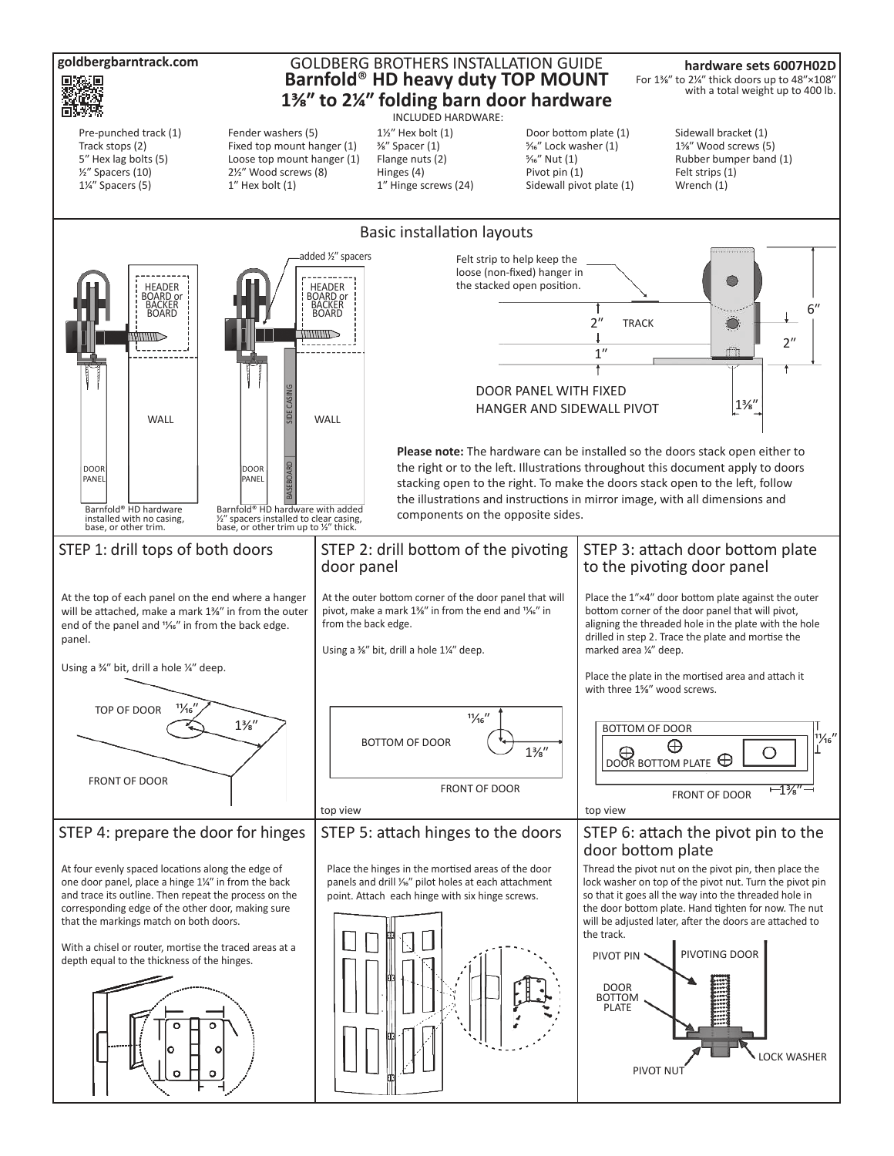**goldbergbarntrack.com**

## GOLDBERG BROTHERS INSTALLATION GUIDE **Barnfold**® **HD heavy duty TOP MOUNT 1⅜ʺ to 2¼ʺ folding barn door hardware**

INCLUDED HARDWARE:

**hardware sets 6007H02D**  For 1%" to 2¼" thick doors up to 48"×108" with a total weight up to 400 lb.

Pre-punched track (1) Track stops (2) 5" Hex lag bolts (5) ½ʺ Spacers (10)  $1\frac{1}{4}$ " Spacers (5)

Fender washers (5) Fixed top mount hanger (1) Loose top mount hanger (1) 21/<sub>2</sub><sup>"</sup> Wood screws (8)  $1''$  Hex bolt  $(1)$ 

 $1\frac{1}{3}$  Hex bolt  $(1)$  $\frac{3}{8}$ " Spacer (1) Flange nuts (2) Hinges (4) 1" Hinge screws (24)

Door bottom plate (1) %<sup>5</sup>/<sub>16</sub>" Lock washer (1)  $\frac{5}{16}$ " Nut (1) Pivot pin (1) Sidewall pivot plate (1)

Sidewall bracket (1) 1%" Wood screws (5) Rubber bumper band (1) Felt strips (1) Wrench (1)